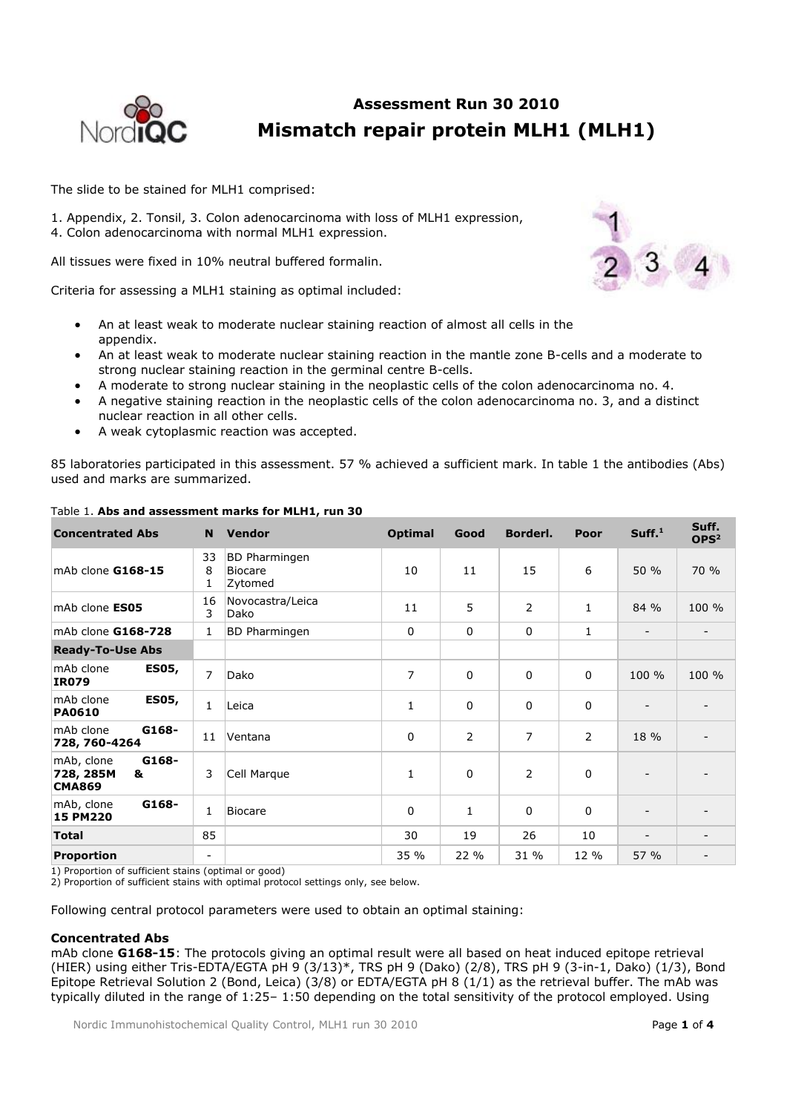

# **Assessment Run 30 2010 Mismatch repair protein MLH1 (MLH1)**

The slide to be stained for MLH1 comprised:

1. Appendix, 2. Tonsil, 3. Colon adenocarcinoma with loss of MLH1 expression, 4. Colon adenocarcinoma with normal MLH1 expression.

All tissues were fixed in 10% neutral buffered formalin.

Criteria for assessing a MLH1 staining as optimal included:

- An at least weak to moderate nuclear staining reaction of almost all cells in the appendix.
- An at least weak to moderate nuclear staining reaction in the mantle zone B-cells and a moderate to strong nuclear staining reaction in the germinal centre B-cells.
- A moderate to strong nuclear staining in the neoplastic cells of the colon adenocarcinoma no. 4.
- A negative staining reaction in the neoplastic cells of the colon adenocarcinoma no. 3, and a distinct nuclear reaction in all other cells.
- A weak cytoplasmic reaction was accepted.

85 laboratories participated in this assessment. 57 % achieved a sufficient mark. In table 1 the antibodies (Abs) used and marks are summarized.

| <b>Concentrated Abs</b>                                | <b>N</b>                 | <b>Vendor</b>                                     | <b>Optimal</b> | Good           | Borderl.       | Poor         | Suff. <sup>1</sup>       | Suff.<br>OPS <sup>2</sup> |
|--------------------------------------------------------|--------------------------|---------------------------------------------------|----------------|----------------|----------------|--------------|--------------------------|---------------------------|
| mAb clone G168-15                                      | 33<br>8<br>1             | <b>BD</b> Pharmingen<br><b>Biocare</b><br>Zytomed | 10             | 11             | 15             | 6            | 50 %                     | 70 %                      |
| mAb clone <b>ES05</b>                                  | 16<br>3                  | Novocastra/Leica<br>Dako                          | 11             | 5              | $\overline{2}$ | $\mathbf{1}$ | 84 %                     | 100 %                     |
| mAb clone G168-728                                     | $\mathbf{1}$             | <b>BD</b> Pharmingen                              | $\mathbf 0$    | $\mathbf 0$    | 0              | 1            | $\overline{\phantom{a}}$ |                           |
| <b>Ready-To-Use Abs</b>                                |                          |                                                   |                |                |                |              |                          |                           |
| mAb clone<br><b>ES05,</b><br><b>IR079</b>              | $\overline{7}$           | Dako                                              | 7              | $\Omega$       | $\mathbf 0$    | $\mathbf{0}$ | 100 %                    | 100 %                     |
| <b>ES05,</b><br>mAb clone<br><b>PA0610</b>             | $\mathbf{1}$             | Leica                                             | $\mathbf{1}$   | $\Omega$       | $\pmb{0}$      | $\Omega$     |                          |                           |
| mAb clone<br>G168-<br>728, 760-4264                    | 11                       | Ventana                                           | $\overline{0}$ | $\overline{2}$ | $\overline{7}$ | 2            | 18 %                     |                           |
| mAb, clone<br>G168-<br>&<br>728, 285M<br><b>CMA869</b> | 3                        | Cell Marque                                       | $\mathbf{1}$   | 0              | 2              | 0            |                          |                           |
| G168-<br>mAb, clone<br>15 PM220                        | $\mathbf{1}$             | Biocare                                           | 0              | $\mathbf{1}$   | 0              | $\Omega$     |                          |                           |
| <b>Total</b>                                           | 85                       |                                                   | 30             | 19             | 26             | 10           |                          |                           |
| Proportion                                             | $\overline{\phantom{a}}$ |                                                   | 35 %           | 22 %           | 31 %           | 12 %         | 57 %                     |                           |

## Table 1. **Abs and assessment marks for MLH1, run 30**

1) Proportion of sufficient stains (optimal or good)

2) Proportion of sufficient stains with optimal protocol settings only, see below.

Following central protocol parameters were used to obtain an optimal staining:

### **Concentrated Abs**

mAb clone **G168-15**: The protocols giving an optimal result were all based on heat induced epitope retrieval (HIER) using either Tris-EDTA/EGTA pH 9 (3/13)\*, TRS pH 9 (Dako) (2/8), TRS pH 9 (3-in-1, Dako) (1/3), Bond Epitope Retrieval Solution 2 (Bond, Leica) (3/8) or EDTA/EGTA pH 8 (1/1) as the retrieval buffer. The mAb was typically diluted in the range of 1:25– 1:50 depending on the total sensitivity of the protocol employed. Using

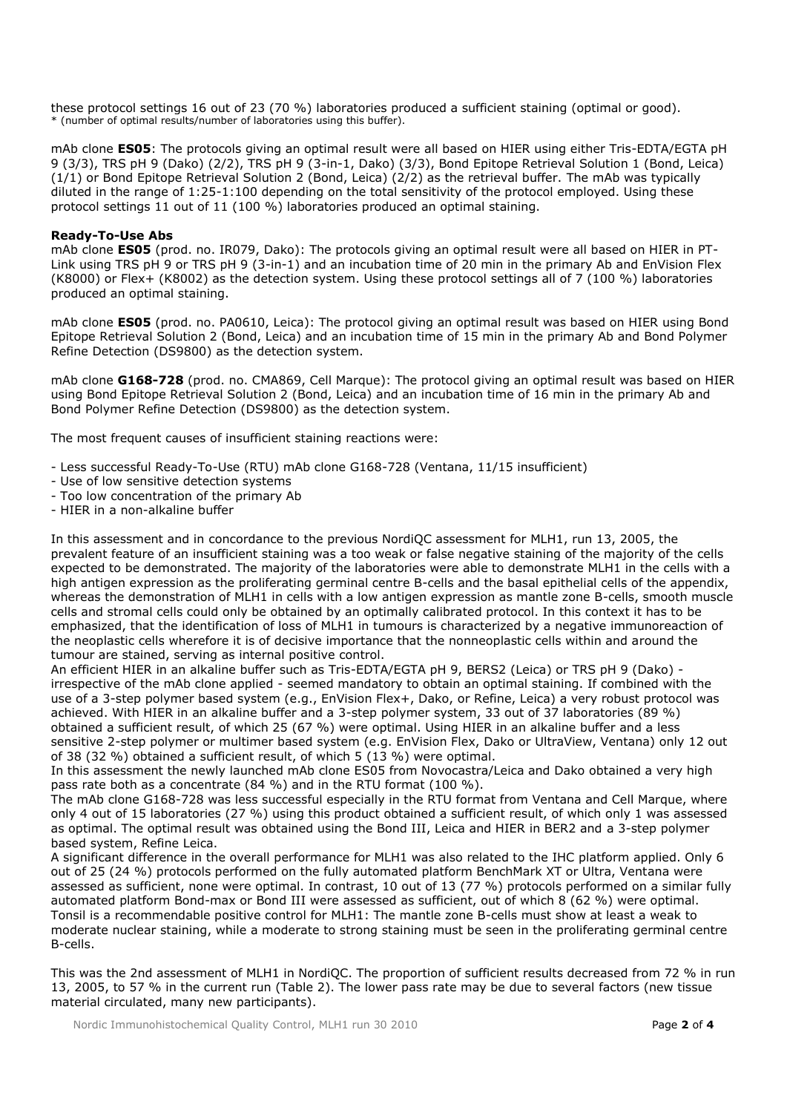these protocol settings 16 out of 23 (70 %) laboratories produced a sufficient staining (optimal or good). \* (number of optimal results/number of laboratories using this buffer).

mAb clone **ES05**: The protocols giving an optimal result were all based on HIER using either Tris-EDTA/EGTA pH 9 (3/3), TRS pH 9 (Dako) (2/2), TRS pH 9 (3-in-1, Dako) (3/3), Bond Epitope Retrieval Solution 1 (Bond, Leica) (1/1) or Bond Epitope Retrieval Solution 2 (Bond, Leica) (2/2) as the retrieval buffer. The mAb was typically diluted in the range of 1:25-1:100 depending on the total sensitivity of the protocol employed. Using these protocol settings 11 out of 11 (100 %) laboratories produced an optimal staining.

### **Ready-To-Use Abs**

mAb clone **ES05** (prod. no. IR079, Dako): The protocols giving an optimal result were all based on HIER in PT-Link using TRS pH 9 or TRS pH 9 (3-in-1) and an incubation time of 20 min in the primary Ab and EnVision Flex (K8000) or Flex+ (K8002) as the detection system. Using these protocol settings all of 7 (100 %) laboratories produced an optimal staining.

mAb clone **ES05** (prod. no. PA0610, Leica): The protocol giving an optimal result was based on HIER using Bond Epitope Retrieval Solution 2 (Bond, Leica) and an incubation time of 15 min in the primary Ab and Bond Polymer Refine Detection (DS9800) as the detection system.

mAb clone **G168-728** (prod. no. CMA869, Cell Marque): The protocol giving an optimal result was based on HIER using Bond Epitope Retrieval Solution 2 (Bond, Leica) and an incubation time of 16 min in the primary Ab and Bond Polymer Refine Detection (DS9800) as the detection system.

The most frequent causes of insufficient staining reactions were:

- Less successful Ready-To-Use (RTU) mAb clone G168-728 (Ventana, 11/15 insufficient)
- Use of low sensitive detection systems
- Too low concentration of the primary Ab
- HIER in a non-alkaline buffer

In this assessment and in concordance to the previous NordiQC assessment for MLH1, run 13, 2005, the prevalent feature of an insufficient staining was a too weak or false negative staining of the majority of the cells expected to be demonstrated. The majority of the laboratories were able to demonstrate MLH1 in the cells with a high antigen expression as the proliferating germinal centre B-cells and the basal epithelial cells of the appendix, whereas the demonstration of MLH1 in cells with a low antigen expression as mantle zone B-cells, smooth muscle cells and stromal cells could only be obtained by an optimally calibrated protocol. In this context it has to be emphasized, that the identification of loss of MLH1 in tumours is characterized by a negative immunoreaction of the neoplastic cells wherefore it is of decisive importance that the nonneoplastic cells within and around the tumour are stained, serving as internal positive control.

An efficient HIER in an alkaline buffer such as Tris-EDTA/EGTA pH 9, BERS2 (Leica) or TRS pH 9 (Dako) irrespective of the mAb clone applied - seemed mandatory to obtain an optimal staining. If combined with the use of a 3-step polymer based system (e.g., EnVision Flex+, Dako, or Refine, Leica) a very robust protocol was achieved. With HIER in an alkaline buffer and a 3-step polymer system, 33 out of 37 laboratories (89 %) obtained a sufficient result, of which 25 (67 %) were optimal. Using HIER in an alkaline buffer and a less sensitive 2-step polymer or multimer based system (e.g. EnVision Flex, Dako or UltraView, Ventana) only 12 out of 38 (32 %) obtained a sufficient result, of which 5 (13 %) were optimal.

In this assessment the newly launched mAb clone ES05 from Novocastra/Leica and Dako obtained a very high pass rate both as a concentrate (84 %) and in the RTU format (100 %).

The mAb clone G168-728 was less successful especially in the RTU format from Ventana and Cell Marque, where only 4 out of 15 laboratories (27 %) using this product obtained a sufficient result, of which only 1 was assessed as optimal. The optimal result was obtained using the Bond III, Leica and HIER in BER2 and a 3-step polymer based system, Refine Leica.

A significant difference in the overall performance for MLH1 was also related to the IHC platform applied. Only 6 out of 25 (24 %) protocols performed on the fully automated platform BenchMark XT or Ultra, Ventana were assessed as sufficient, none were optimal. In contrast, 10 out of 13 (77 %) protocols performed on a similar fully automated platform Bond-max or Bond III were assessed as sufficient, out of which 8 (62 %) were optimal. Tonsil is a recommendable positive control for MLH1: The mantle zone B-cells must show at least a weak to moderate nuclear staining, while a moderate to strong staining must be seen in the proliferating germinal centre B-cells.

This was the 2nd assessment of MLH1 in NordiQC. The proportion of sufficient results decreased from 72 % in run 13, 2005, to 57 % in the current run (Table 2). The lower pass rate may be due to several factors (new tissue material circulated, many new participants).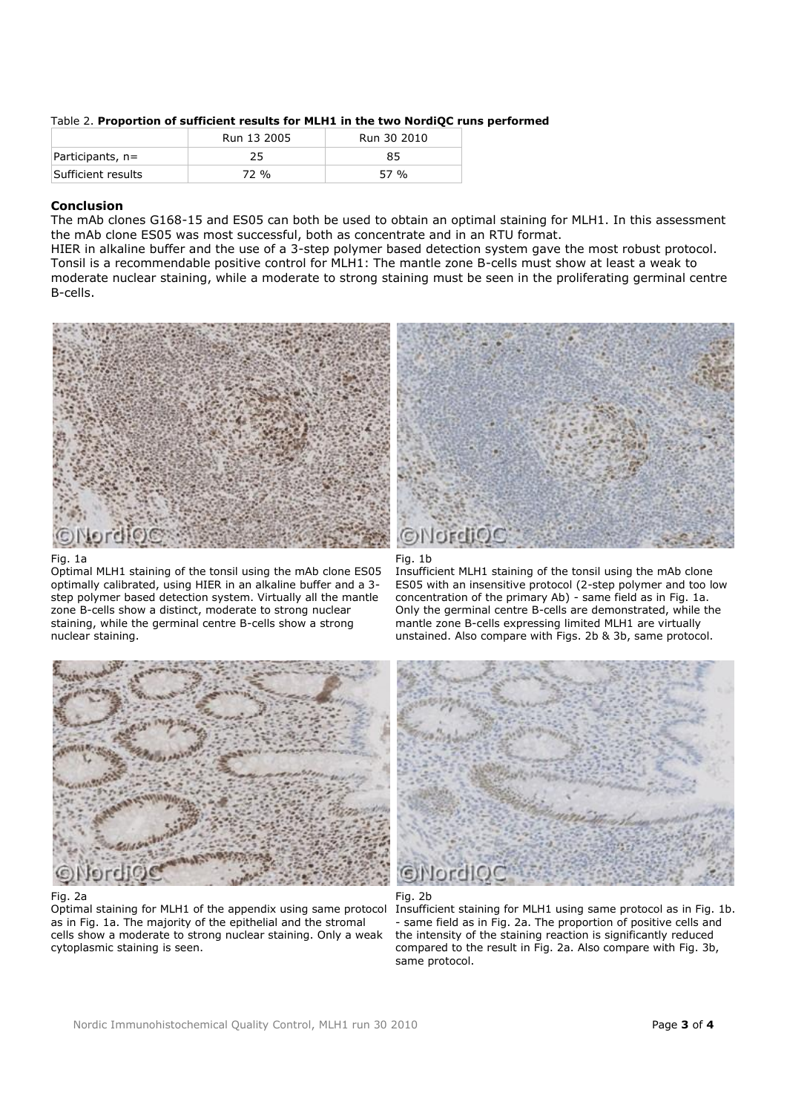|                    | Run 13 2005 | Run 30 2010 |
|--------------------|-------------|-------------|
| $Participants, n=$ | 25          | 85          |
| Sufficient results | 72 %        | 57 %        |

Table 2. **Proportion of sufficient results for MLH1 in the two NordiQC runs performed** 

# **Conclusion**

The mAb clones G168-15 and ES05 can both be used to obtain an optimal staining for MLH1. In this assessment the mAb clone ES05 was most successful, both as concentrate and in an RTU format.

HIER in alkaline buffer and the use of a 3-step polymer based detection system gave the most robust protocol. Tonsil is a recommendable positive control for MLH1: The mantle zone B-cells must show at least a weak to moderate nuclear staining, while a moderate to strong staining must be seen in the proliferating germinal centre B-cells.



Fig. 1a

Optimal MLH1 staining of the tonsil using the mAb clone ES05 optimally calibrated, using HIER in an alkaline buffer and a 3 step polymer based detection system. Virtually all the mantle zone B-cells show a distinct, moderate to strong nuclear staining, while the germinal centre B-cells show a strong nuclear staining.



#### Fig. 2a

Optimal staining for MLH1 of the appendix using same protocol as in Fig. 1a. The majority of the epithelial and the stromal cells show a moderate to strong nuclear staining. Only a weak cytoplasmic staining is seen.





Insufficient MLH1 staining of the tonsil using the mAb clone ES05 with an insensitive protocol (2-step polymer and too low concentration of the primary Ab) - same field as in Fig. 1a. Only the germinal centre B-cells are demonstrated, while the mantle zone B-cells expressing limited MLH1 are virtually unstained. Also compare with Figs. 2b & 3b, same protocol.





Insufficient staining for MLH1 using same protocol as in Fig. 1b. same field as in Fig. 2a. The proportion of positive cells and the intensity of the staining reaction is significantly reduced compared to the result in Fig. 2a. Also compare with Fig. 3b, same protocol.